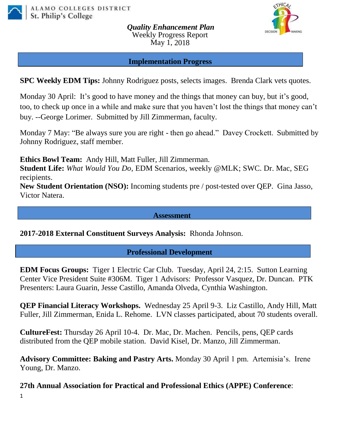

*Quality Enhancement Plan* Weekly Progress Report May 1, 2018



**Implementation Progress**

**SPC Weekly EDM Tips:** Johnny Rodriguez posts, selects images. Brenda Clark vets quotes.

Monday 30 April: It's good to have money and the things that money can buy, but it's good, too, to check up once in a while and make sure that you haven't lost the things that money can't buy. --George Lorimer. Submitted by Jill Zimmerman, faculty.

Monday 7 May: "Be always sure you are right - then go ahead." Davey Crockett.Submitted by Johnny Rodriguez, staff member.

**Ethics Bowl Team:** Andy Hill, Matt Fuller, Jill Zimmerman.

**Student Life:** *What Would You Do*, EDM Scenarios, weekly @MLK; SWC. Dr. Mac, SEG recipients.

**New Student Orientation (NSO):** Incoming students pre / post-tested over QEP. Gina Jasso, Victor Natera.

**Assessment**

**2017-2018 External Constituent Surveys Analysis:** Rhonda Johnson.

### **Professional Development**

**EDM Focus Groups:** Tiger 1 Electric Car Club. Tuesday, April 24, 2:15. Sutton Learning Center Vice President Suite #306M. Tiger 1 Advisors: Professor Vasquez, Dr. Duncan. PTK Presenters: Laura Guarin, Jesse Castillo, Amanda Olveda, Cynthia Washington.

**QEP Financial Literacy Workshops.** Wednesday 25 April 9-3. Liz Castillo, Andy Hill, Matt Fuller, Jill Zimmerman, Enida L. Rehome. LVN classes participated, about 70 students overall.

**CultureFest:** Thursday 26 April 10-4. Dr. Mac, Dr. Machen. Pencils, pens, QEP cards distributed from the QEP mobile station. David Kisel, Dr. Manzo, Jill Zimmerman.

**Advisory Committee: Baking and Pastry Arts.** Monday 30 April 1 pm. Artemisia's. Irene Young, Dr. Manzo.

1 **27th Annual Association for Practical and Professional Ethics (APPE) Conference**: